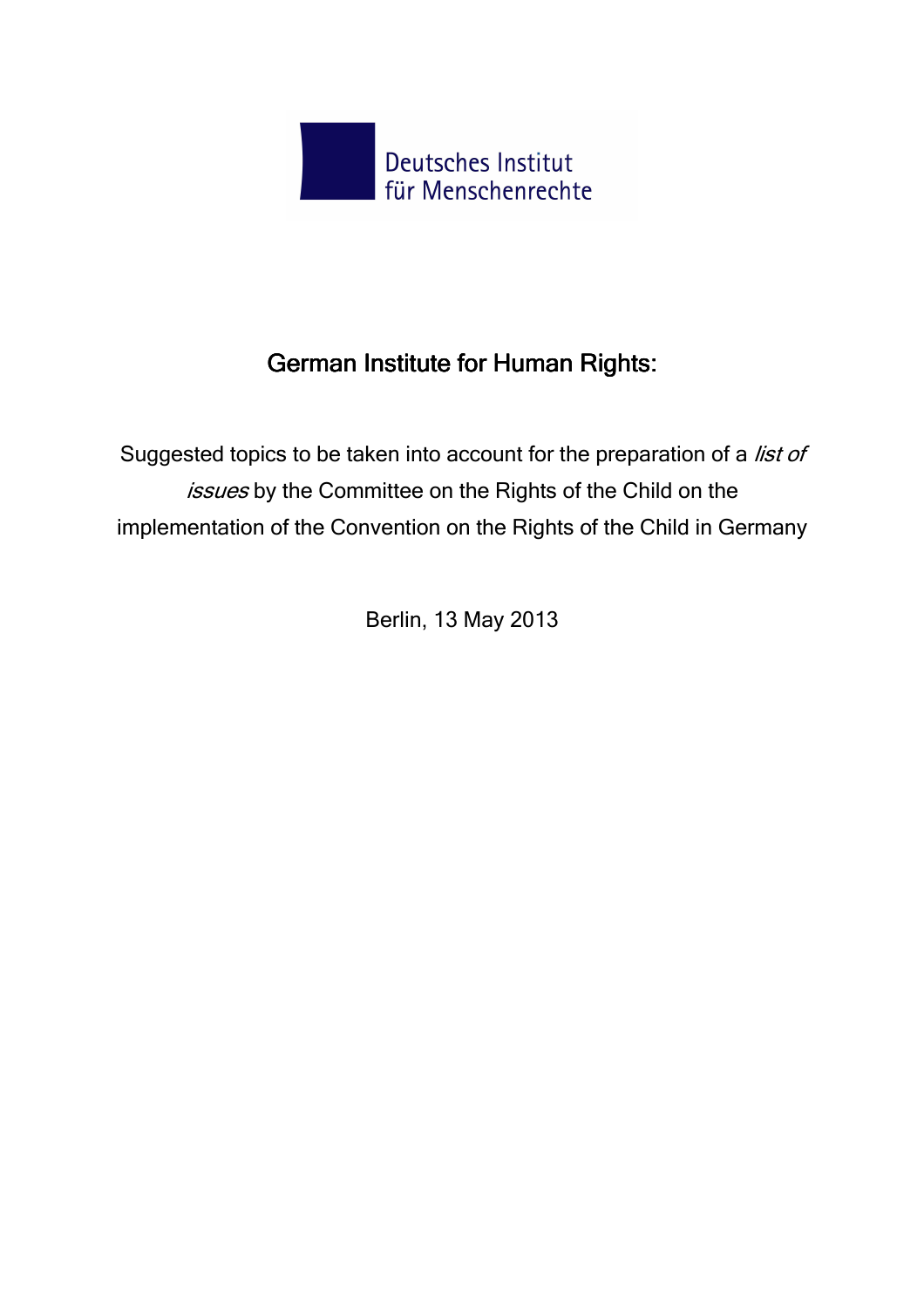

# German Institute for Human Rights:

Suggested topics to be taken into account for the preparation of a list of issues by the Committee on the Rights of the Child on the implementation of the Convention on the Rights of the Child in Germany

Berlin, 13 May 2013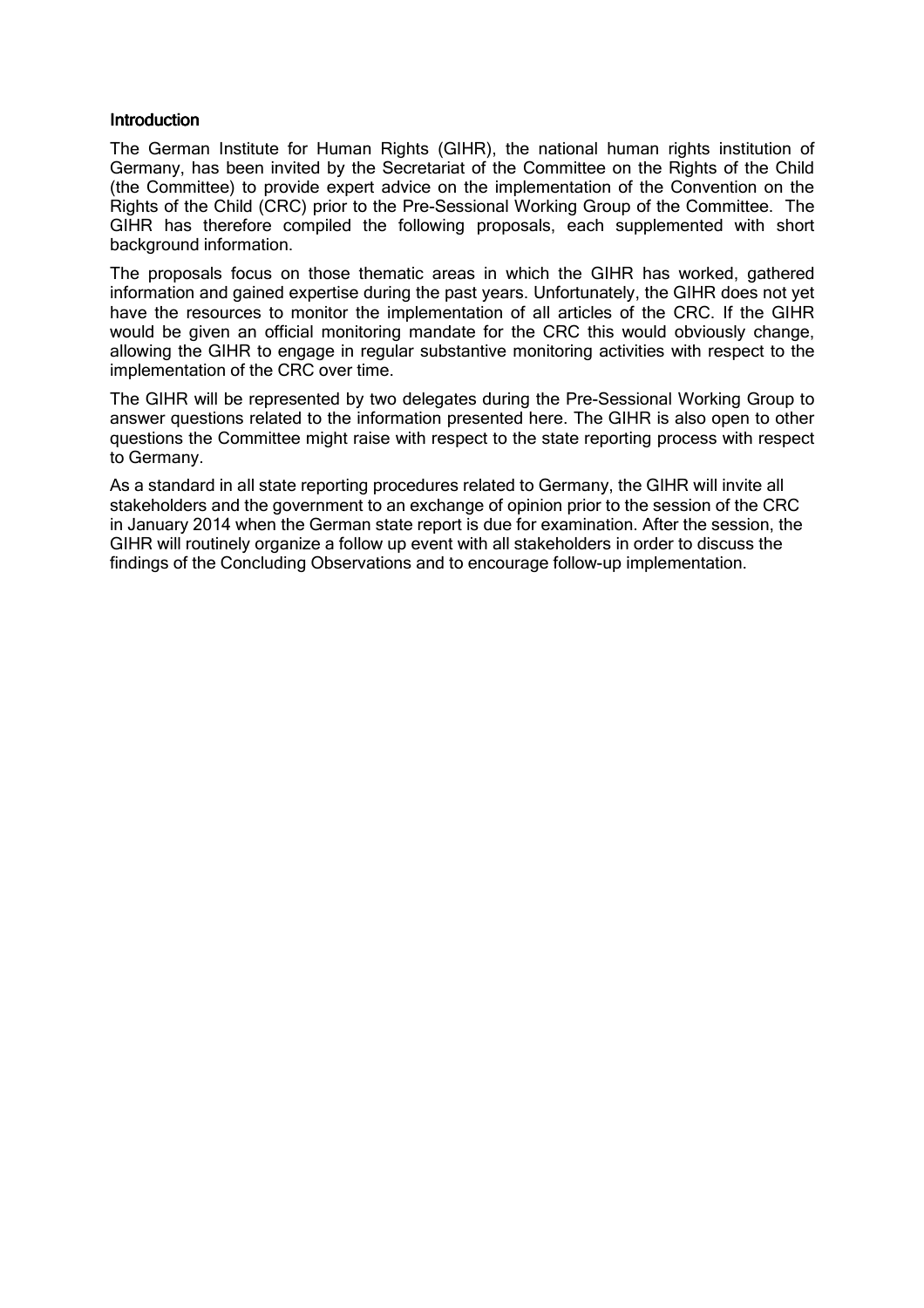#### Introduction

The German Institute for Human Rights (GIHR), the national human rights institution of Germany, has been invited by the Secretariat of the Committee on the Rights of the Child (the Committee) to provide expert advice on the implementation of the Convention on the Rights of the Child (CRC) prior to the Pre-Sessional Working Group of the Committee. The GIHR has therefore compiled the following proposals, each supplemented with short background information.

The proposals focus on those thematic areas in which the GIHR has worked, gathered information and gained expertise during the past years. Unfortunately, the GIHR does not yet have the resources to monitor the implementation of all articles of the CRC. If the GIHR would be given an official monitoring mandate for the CRC this would obviously change, allowing the GIHR to engage in regular substantive monitoring activities with respect to the implementation of the CRC over time.

The GIHR will be represented by two delegates during the Pre-Sessional Working Group to answer questions related to the information presented here. The GIHR is also open to other questions the Committee might raise with respect to the state reporting process with respect to Germany.

As a standard in all state reporting procedures related to Germany, the GIHR will invite all stakeholders and the government to an exchange of opinion prior to the session of the CRC in January 2014 when the German state report is due for examination. After the session, the GIHR will routinely organize a follow up event with all stakeholders in order to discuss the findings of the Concluding Observations and to encourage follow-up implementation.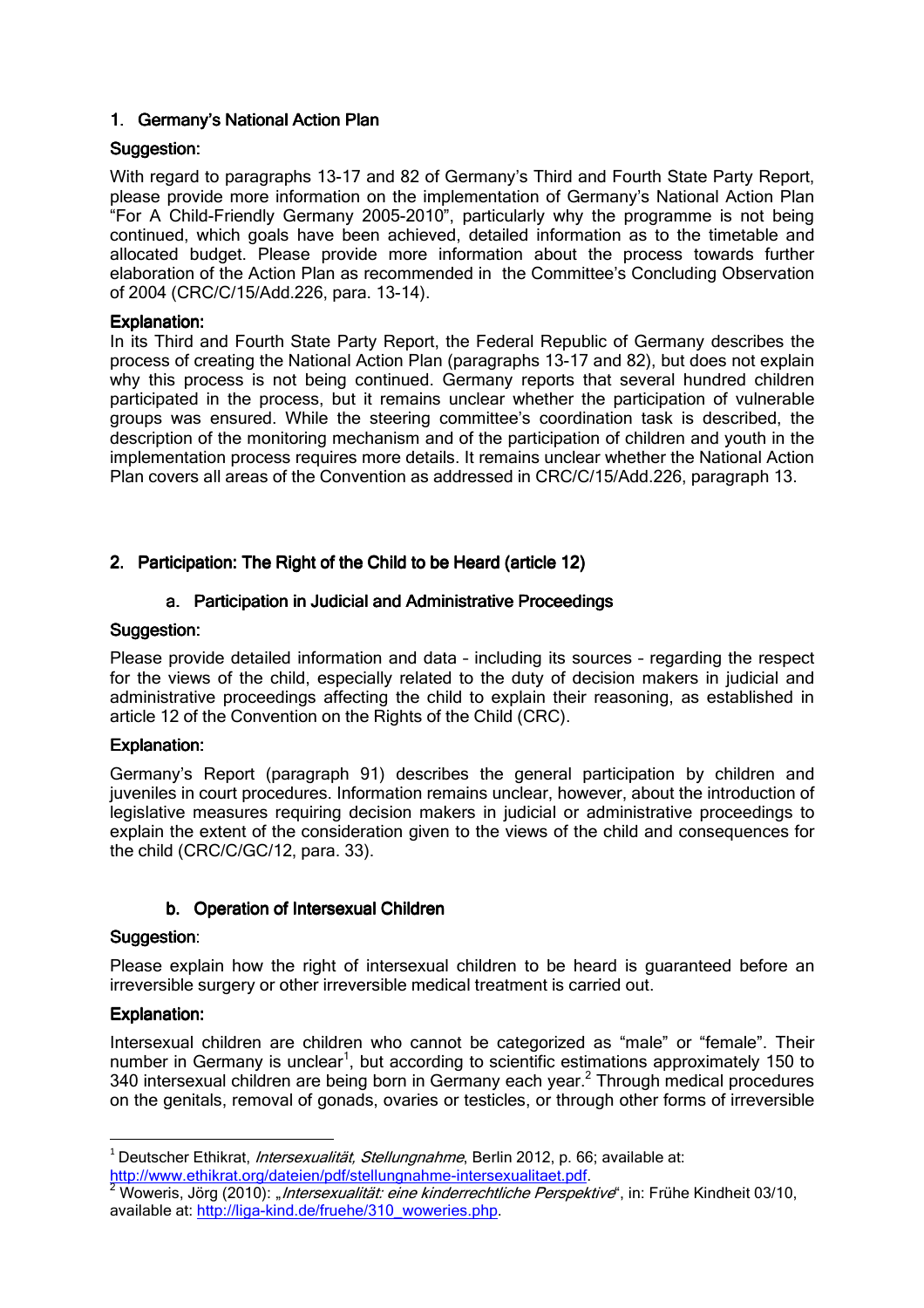# 1. Germany's National Action Plan

## Suggestion:

With regard to paragraphs 13-17 and 82 of Germany's Third and Fourth State Party Report, please provide more information on the implementation of Germany's National Action Plan "For A Child-Friendly Germany 2005-2010", particularly why the programme is not being continued, which goals have been achieved, detailed information as to the timetable and allocated budget. Please provide more information about the process towards further elaboration of the Action Plan as recommended in the Committee's Concluding Observation of 2004 (CRC/C/15/Add.226, para. 13-14).

## Explanation:

In its Third and Fourth State Party Report, the Federal Republic of Germany describes the process of creating the National Action Plan (paragraphs 13-17 and 82), but does not explain why this process is not being continued. Germany reports that several hundred children participated in the process, but it remains unclear whether the participation of vulnerable groups was ensured. While the steering committee's coordination task is described, the description of the monitoring mechanism and of the participation of children and youth in the implementation process requires more details. It remains unclear whether the National Action Plan covers all areas of the Convention as addressed in CRC/C/15/Add.226, paragraph 13.

# 2. Participation: The Right of the Child to be Heard (article 12)

# a. Participation in Judicial and Administrative Proceedings

## Suggestion:

Please provide detailed information and data – including its sources – regarding the respect for the views of the child, especially related to the duty of decision makers in judicial and administrative proceedings affecting the child to explain their reasoning, as established in article 12 of the Convention on the Rights of the Child (CRC).

## Explanation:

Germany's Report (paragraph 91) describes the general participation by children and juveniles in court procedures. Information remains unclear, however, about the introduction of legislative measures requiring decision makers in judicial or administrative proceedings to explain the extent of the consideration given to the views of the child and consequences for the child (CRC/C/GC/12, para. 33).

# b. Operation of Intersexual Children

## Suggestion:

Please explain how the right of intersexual children to be heard is guaranteed before an irreversible surgery or other irreversible medical treatment is carried out.

## Explanation:

 $\overline{a}$ 

Intersexual children are children who cannot be categorized as "male" or "female". Their number in Germany is unclear<sup>1</sup>, but according to scientific estimations approximately 150 to 340 intersexual children are being born in Germany each year.<sup>2</sup> Through medical procedures on the genitals, removal of gonads, ovaries or testicles, or through other forms of irreversible

<sup>&</sup>lt;sup>1</sup> Deutscher Ethikrat, *Intersexualität, Stellungnahme*, Berlin 2012, p. 66; available at: http://www.ethikrat.org/dateien/pdf/stellungnahme-intersexualitaet.pdf.

<sup>2</sup> Woweris, Jörg (2010): *"Intersexualität: eine kinderrechtliche Perspektive*", in: Frühe Kindheit 03/10, available at: http://liga-kind.de/fruehe/310\_woweries.php.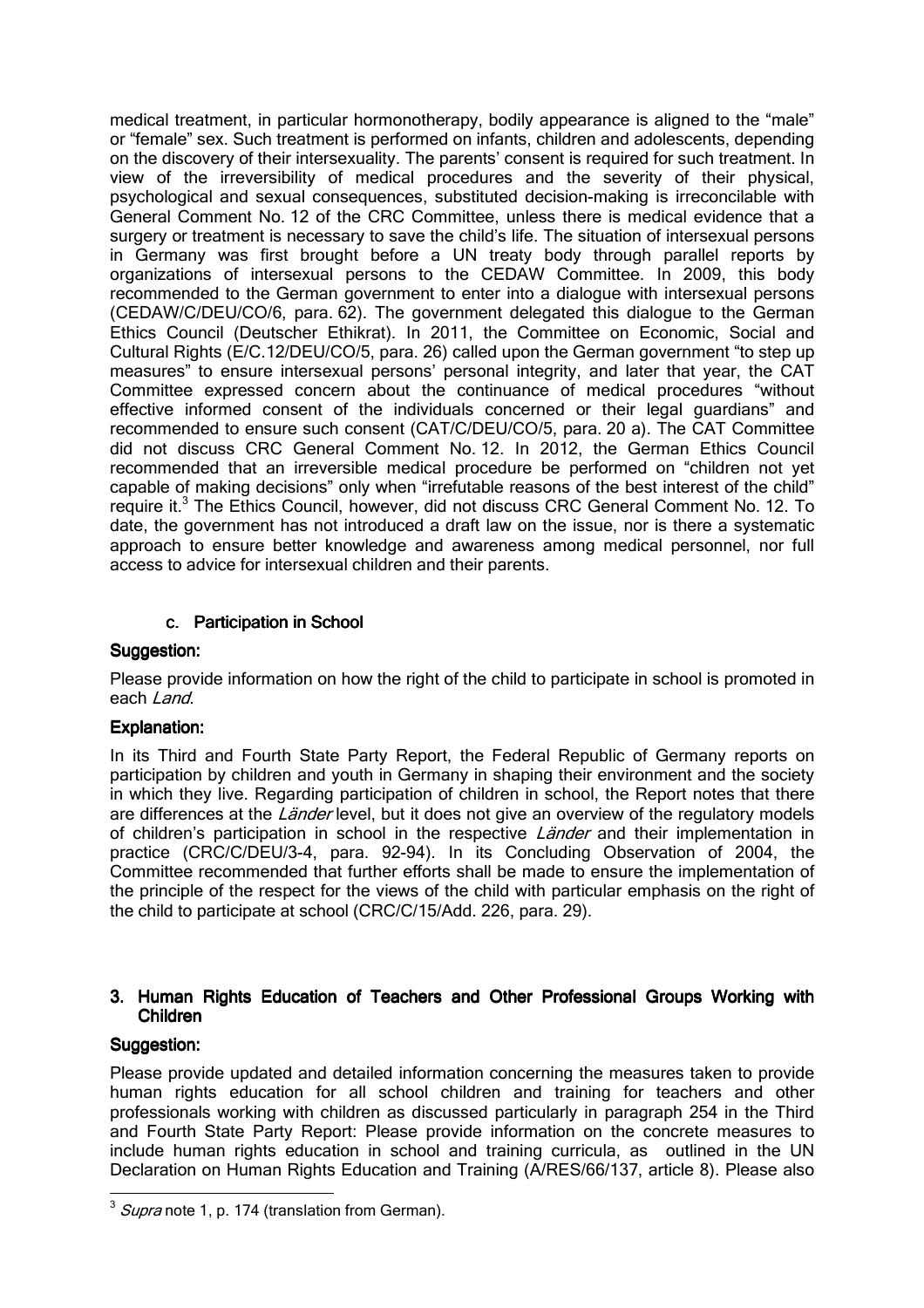medical treatment, in particular hormonotherapy, bodily appearance is aligned to the "male" or "female" sex. Such treatment is performed on infants, children and adolescents, depending on the discovery of their intersexuality. The parents' consent is required for such treatment. In view of the irreversibility of medical procedures and the severity of their physical, psychological and sexual consequences, substituted decision-making is irreconcilable with General Comment No. 12 of the CRC Committee, unless there is medical evidence that a surgery or treatment is necessary to save the child's life. The situation of intersexual persons in Germany was first brought before a UN treaty body through parallel reports by organizations of intersexual persons to the CEDAW Committee. In 2009, this body recommended to the German government to enter into a dialogue with intersexual persons (CEDAW/C/DEU/CO/6, para. 62). The government delegated this dialogue to the German Ethics Council (Deutscher Ethikrat). In 2011, the Committee on Economic, Social and Cultural Rights (E/C.12/DEU/CO/5, para. 26) called upon the German government "to step up measures" to ensure intersexual persons' personal integrity, and later that year, the CAT Committee expressed concern about the continuance of medical procedures "without effective informed consent of the individuals concerned or their legal guardians" and recommended to ensure such consent (CAT/C/DEU/CO/5, para. 20 a). The CAT Committee did not discuss CRC General Comment No. 12. In 2012, the German Ethics Council recommended that an irreversible medical procedure be performed on "children not yet capable of making decisions" only when "irrefutable reasons of the best interest of the child" require it.<sup>3</sup> The Ethics Council, however, did not discuss CRC General Comment No. 12. To date, the government has not introduced a draft law on the issue, nor is there a systematic approach to ensure better knowledge and awareness among medical personnel, nor full access to advice for intersexual children and their parents.

## c. Participation in School

## Suggestion:

Please provide information on how the right of the child to participate in school is promoted in each Land.

## Explanation:

In its Third and Fourth State Party Report, the Federal Republic of Germany reports on participation by children and youth in Germany in shaping their environment and the society in which they live. Regarding participation of children in school, the Report notes that there are differences at the Länder level, but it does not give an overview of the regulatory models of children's participation in school in the respective *Länder* and their implementation in practice (CRC/C/DEU/3-4, para. 92-94). In its Concluding Observation of 2004, the Committee recommended that further efforts shall be made to ensure the implementation of the principle of the respect for the views of the child with particular emphasis on the right of the child to participate at school (CRC/C/15/Add. 226, para. 29).

## 3. Human Rights Education of Teachers and Other Professional Groups Working with Children

## Suggestion:

Please provide updated and detailed information concerning the measures taken to provide human rights education for all school children and training for teachers and other professionals working with children as discussed particularly in paragraph 254 in the Third and Fourth State Party Report: Please provide information on the concrete measures to include human rights education in school and training curricula, as outlined in the UN Declaration on Human Rights Education and Training (A/RES/66/137, article 8). Please also

 $\overline{a}$  $3$  *Supra* note 1, p. 174 (translation from German).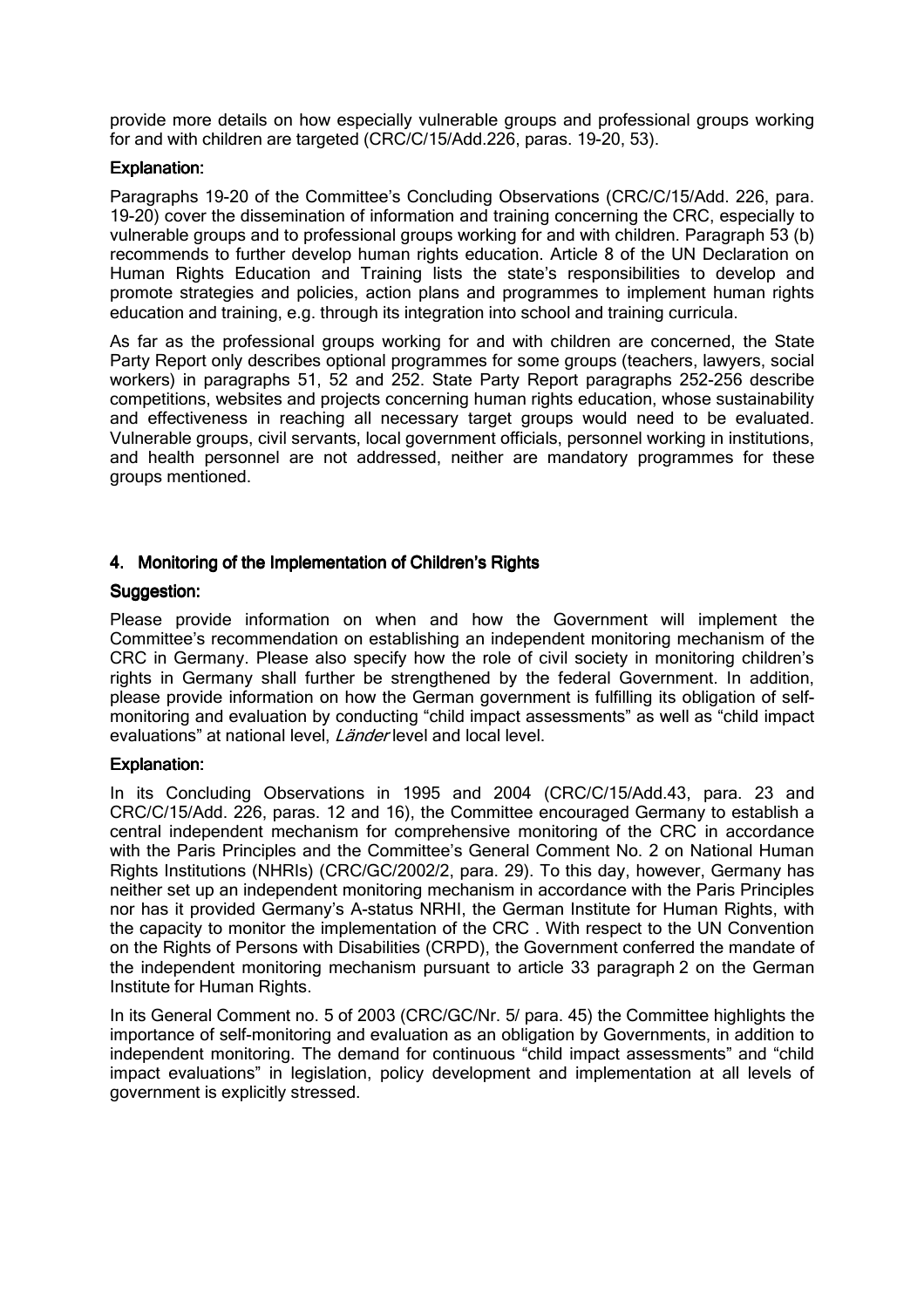provide more details on how especially vulnerable groups and professional groups working for and with children are targeted (CRC/C/15/Add.226, paras. 19-20, 53).

## Explanation:

Paragraphs 19-20 of the Committee's Concluding Observations (CRC/C/15/Add. 226, para. 19-20) cover the dissemination of information and training concerning the CRC, especially to vulnerable groups and to professional groups working for and with children. Paragraph 53 (b) recommends to further develop human rights education. Article 8 of the UN Declaration on Human Rights Education and Training lists the state's responsibilities to develop and promote strategies and policies, action plans and programmes to implement human rights education and training, e.g. through its integration into school and training curricula.

As far as the professional groups working for and with children are concerned, the State Party Report only describes optional programmes for some groups (teachers, lawyers, social workers) in paragraphs 51, 52 and 252. State Party Report paragraphs 252-256 describe competitions, websites and projects concerning human rights education, whose sustainability and effectiveness in reaching all necessary target groups would need to be evaluated. Vulnerable groups, civil servants, local government officials, personnel working in institutions, and health personnel are not addressed, neither are mandatory programmes for these groups mentioned.

## 4. Monitoring of the Implementation of Children's Rights

## Suggestion:

Please provide information on when and how the Government will implement the Committee's recommendation on establishing an independent monitoring mechanism of the CRC in Germany. Please also specify how the role of civil society in monitoring children's rights in Germany shall further be strengthened by the federal Government. In addition, please provide information on how the German government is fulfilling its obligation of selfmonitoring and evaluation by conducting "child impact assessments" as well as "child impact evaluations" at national level, *Länder* level and local level.

## Explanation:

In its Concluding Observations in 1995 and 2004 (CRC/C/15/Add.43, para. 23 and CRC/C/15/Add. 226, paras. 12 and 16), the Committee encouraged Germany to establish a central independent mechanism for comprehensive monitoring of the CRC in accordance with the Paris Principles and the Committee's General Comment No. 2 on National Human Rights Institutions (NHRIs) (CRC/GC/2002/2, para. 29). To this day, however, Germany has neither set up an independent monitoring mechanism in accordance with the Paris Principles nor has it provided Germany's A-status NRHI, the German Institute for Human Rights, with the capacity to monitor the implementation of the CRC . With respect to the UN Convention on the Rights of Persons with Disabilities (CRPD), the Government conferred the mandate of the independent monitoring mechanism pursuant to article 33 paragraph 2 on the German Institute for Human Rights.

In its General Comment no. 5 of 2003 (CRC/GC/Nr. 5/ para. 45) the Committee highlights the importance of self-monitoring and evaluation as an obligation by Governments, in addition to independent monitoring. The demand for continuous "child impact assessments" and "child impact evaluations" in legislation, policy development and implementation at all levels of government is explicitly stressed.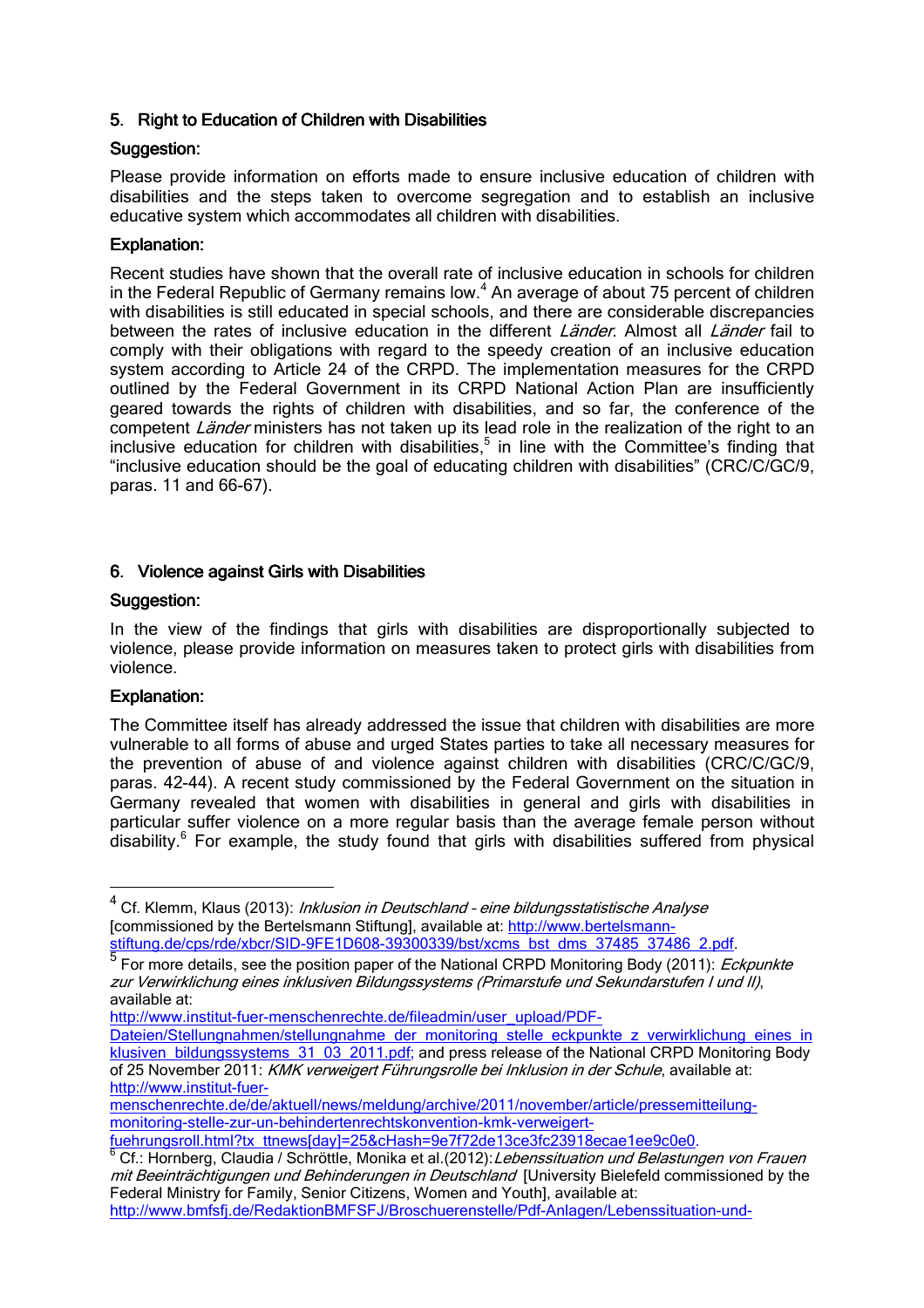## 5. Right to Education of Children with Disabilities

## Suggestion:

Please provide information on efforts made to ensure inclusive education of children with disabilities and the steps taken to overcome segregation and to establish an inclusive educative system which accommodates all children with disabilities.

## Explanation:

Recent studies have shown that the overall rate of inclusive education in schools for children in the Federal Republic of Germany remains low. $4$  An average of about 75 percent of children with disabilities is still educated in special schools, and there are considerable discrepancies between the rates of inclusive education in the different Länder. Almost all Länder fail to comply with their obligations with regard to the speedy creation of an inclusive education system according to Article 24 of the CRPD. The implementation measures for the CRPD outlined by the Federal Government in its CRPD National Action Plan are insufficiently geared towards the rights of children with disabilities, and so far, the conference of the competent Länder ministers has not taken up its lead role in the realization of the right to an inclusive education for children with disabilities,<sup>5</sup> in line with the Committee's finding that "inclusive education should be the goal of educating children with disabilities" (CRC/C/GC/9, paras. 11 and 66-67).

## 6. Violence against Girls with Disabilities

## Suggestion:

In the view of the findings that girls with disabilities are disproportionally subjected to violence, please provide information on measures taken to protect girls with disabilities from violence.

## Explanation:

 $\overline{a}$ 

The Committee itself has already addressed the issue that children with disabilities are more vulnerable to all forms of abuse and urged States parties to take all necessary measures for the prevention of abuse of and violence against children with disabilities (CRC/C/GC/9, paras. 42-44). A recent study commissioned by the Federal Government on the situation in Germany revealed that women with disabilities in general and girls with disabilities in particular suffer violence on a more regular basis than the average female person without disability.<sup>6</sup> For example, the study found that girls with disabilities suffered from physical

http://www.institut-fuer-menschenrechte.de/fileadmin/user\_upload/PDF-

Dateien/Stellungnahmen/stellungnahme\_der\_monitoring\_stelle\_eckpunkte\_z\_verwirklichung\_eines\_in klusiven\_bildungssystems\_31\_03\_2011.pdf; and press release of the National CRPD Monitoring Body of 25 November 2011: KMK verweigert Führungsrolle bei Inklusion in der Schule, available at: http://www.institut-fuer-

fuehrungsroll.html?tx\_ttnews[day]=25&cHash=9e7f72de13ce3fc23918ecae1ee9c0e0.

<sup>&</sup>lt;sup>4</sup> Cf. Klemm, Klaus (2013): *Inklusion in Deutschland - eine bildungsstatistische Analyse* [commissioned by the Bertelsmann Stiftung], available at: http://www.bertelsmannstiftung.de/cps/rde/xbcr/SID-9FE1D608-39300339/bst/xcms\_bst\_dms\_37485\_37486\_2.pdf.<br>5 Eer mere details, aso the pesitien paper of the National CBDD Menitering Bedy (2011): *Fe* 

For more details, see the position paper of the National CRPD Monitoring Body (2011): Eckpunkte zur Verwirklichung eines inklusiven Bildungssystems (Primarstufe und Sekundarstufen I und II), available at:

menschenrechte.de/de/aktuell/news/meldung/archive/2011/november/article/pressemitteilungmonitoring-stelle-zur-un-behindertenrechtskonvention-kmk-verweigert-

<sup>&</sup>lt;sup>6</sup> Cf.: Hornberg, Claudia / Schröttle, Monika et al.(2012): Lebenssituation und Belastungen von Frauen mit Beeinträchtigungen und Behinderungen in Deutschland [University Bielefeld commissioned by the Federal Ministry for Family, Senior Citizens, Women and Youth], available at: http://www.bmfsfj.de/RedaktionBMFSFJ/Broschuerenstelle/Pdf-Anlagen/Lebenssituation-und-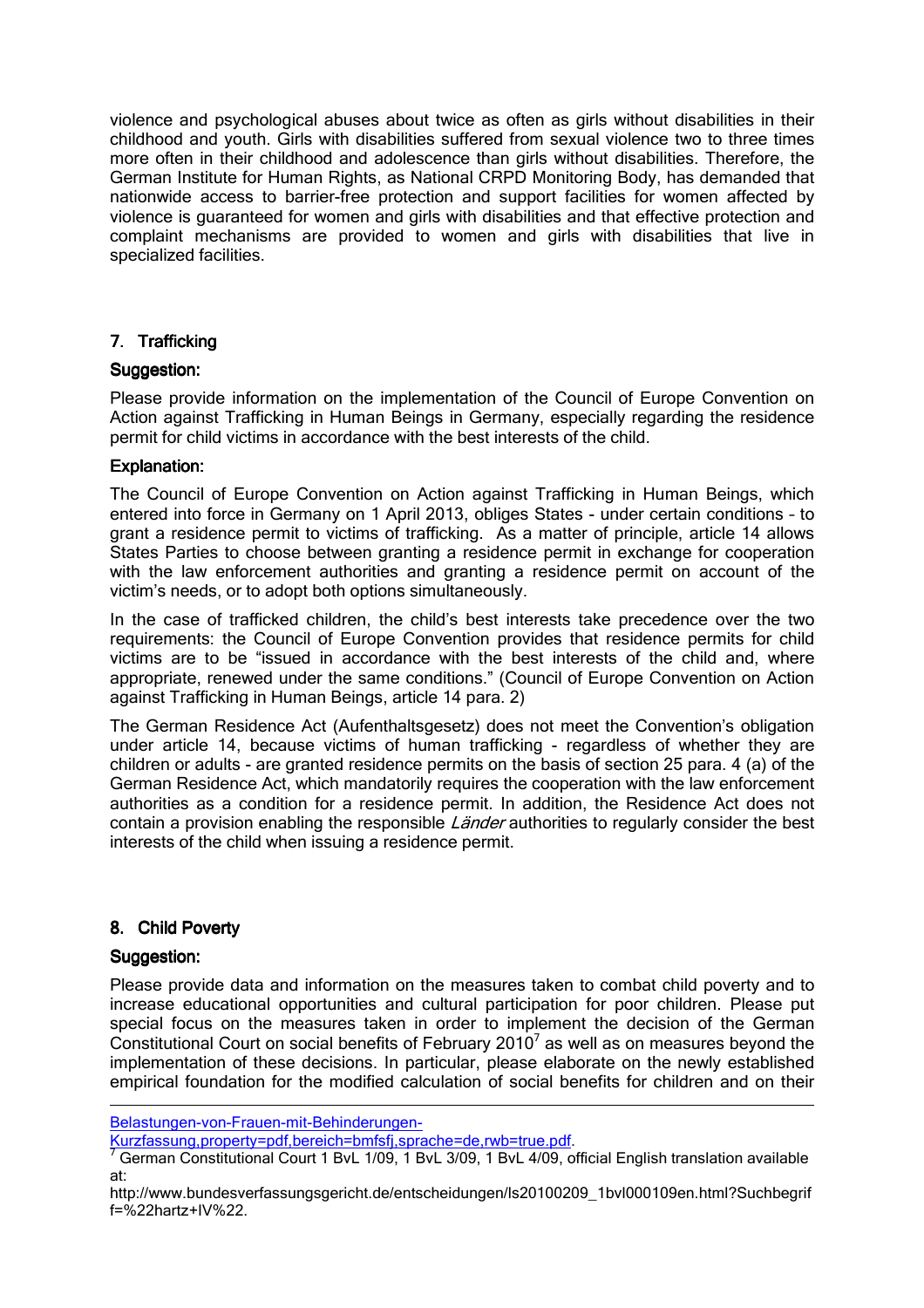violence and psychological abuses about twice as often as girls without disabilities in their childhood and youth. Girls with disabilities suffered from sexual violence two to three times more often in their childhood and adolescence than girls without disabilities. Therefore, the German Institute for Human Rights, as National CRPD Monitoring Body, has demanded that nationwide access to barrier-free protection and support facilities for women affected by violence is guaranteed for women and girls with disabilities and that effective protection and complaint mechanisms are provided to women and girls with disabilities that live in specialized facilities.

## 7. Trafficking

## Suggestion:

Please provide information on the implementation of the Council of Europe Convention on Action against Trafficking in Human Beings in Germany, especially regarding the residence permit for child victims in accordance with the best interests of the child.

#### Explanation:

The Council of Europe Convention on Action against Trafficking in Human Beings, which entered into force in Germany on 1 April 2013, obliges States - under certain conditions – to grant a residence permit to victims of trafficking. As a matter of principle, article 14 allows States Parties to choose between granting a residence permit in exchange for cooperation with the law enforcement authorities and granting a residence permit on account of the victim's needs, or to adopt both options simultaneously.

In the case of trafficked children, the child's best interests take precedence over the two requirements: the Council of Europe Convention provides that residence permits for child victims are to be "issued in accordance with the best interests of the child and, where appropriate, renewed under the same conditions." (Council of Europe Convention on Action against Trafficking in Human Beings, article 14 para. 2)

The German Residence Act (Aufenthaltsgesetz) does not meet the Convention's obligation under article 14, because victims of human trafficking - regardless of whether they are children or adults - are granted residence permits on the basis of section 25 para. 4 (a) of the German Residence Act, which mandatorily requires the cooperation with the law enforcement authorities as a condition for a residence permit. In addition, the Residence Act does not contain a provision enabling the responsible Länder authorities to regularly consider the best interests of the child when issuing a residence permit.

## 8. Child Poverty

## Suggestion:

<u>.</u>

Please provide data and information on the measures taken to combat child poverty and to increase educational opportunities and cultural participation for poor children. Please put special focus on the measures taken in order to implement the decision of the German Constitutional Court on social benefits of February 2010<sup>7</sup> as well as on measures beyond the implementation of these decisions. In particular, please elaborate on the newly established empirical foundation for the modified calculation of social benefits for children and on their

Kurzfassung,property=pdf,bereich=bmfsfj,sprache=de,rwb=true.pdf.

Belastungen-von-Frauen-mit-Behinderungen-

<sup>7</sup> German Constitutional Court 1 BvL 1/09, 1 BvL 3/09, 1 BvL 4/09, official English translation available at:

http://www.bundesverfassungsgericht.de/entscheidungen/ls20100209\_1bvl000109en.html?Suchbegrif f=%22hartz+IV%22.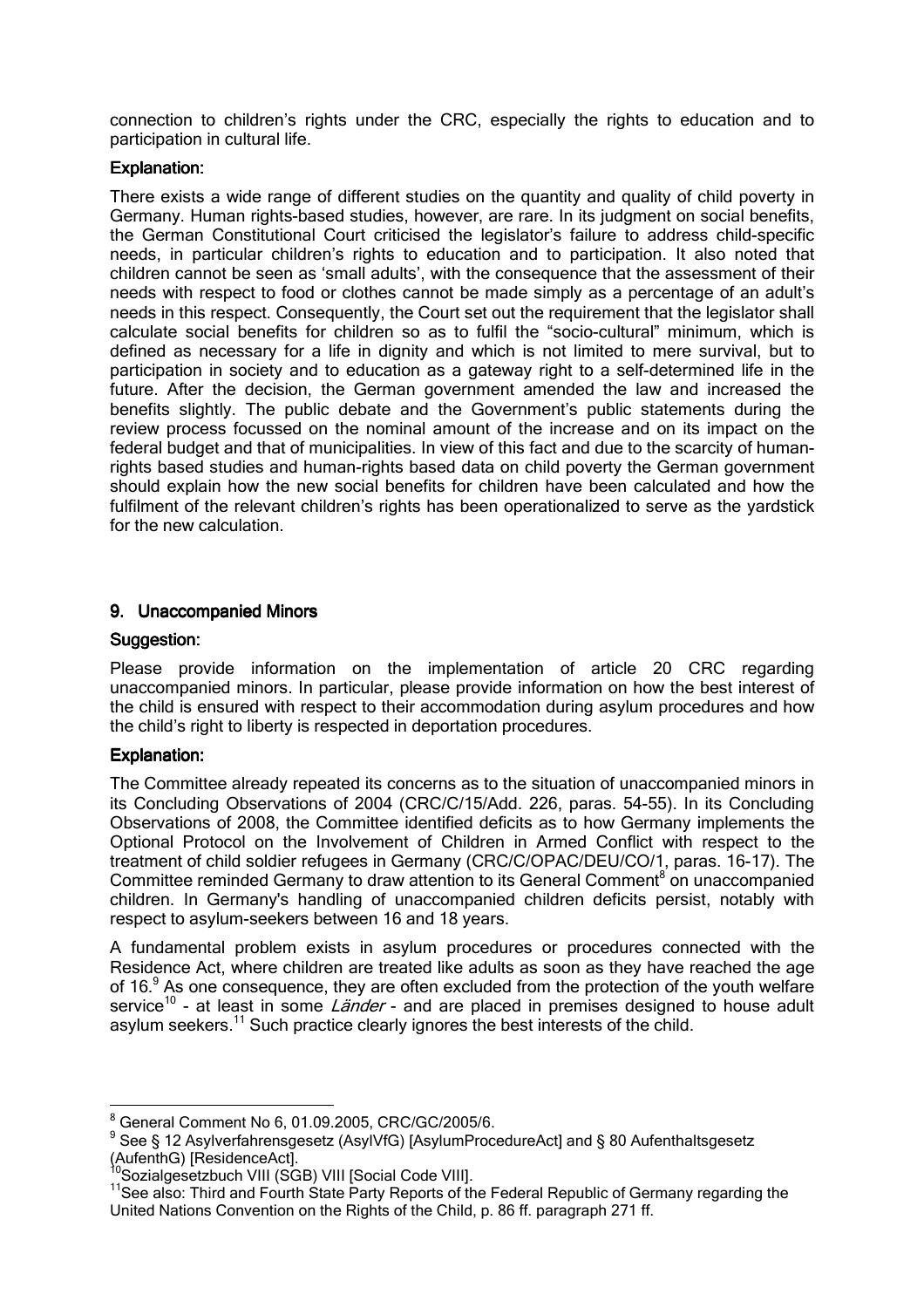connection to children's rights under the CRC, especially the rights to education and to participation in cultural life.

## Explanation:

There exists a wide range of different studies on the quantity and quality of child poverty in Germany. Human rights-based studies, however, are rare. In its judgment on social benefits, the German Constitutional Court criticised the legislator's failure to address child-specific needs, in particular children's rights to education and to participation. It also noted that children cannot be seen as 'small adults', with the consequence that the assessment of their needs with respect to food or clothes cannot be made simply as a percentage of an adult's needs in this respect. Consequently, the Court set out the requirement that the legislator shall calculate social benefits for children so as to fulfil the "socio-cultural" minimum, which is defined as necessary for a life in dignity and which is not limited to mere survival, but to participation in society and to education as a gateway right to a self-determined life in the future. After the decision, the German government amended the law and increased the benefits slightly. The public debate and the Government's public statements during the review process focussed on the nominal amount of the increase and on its impact on the federal budget and that of municipalities. In view of this fact and due to the scarcity of humanrights based studies and human-rights based data on child poverty the German government should explain how the new social benefits for children have been calculated and how the fulfilment of the relevant children's rights has been operationalized to serve as the yardstick for the new calculation.

## 9. Unaccompanied Minors

## Suggestion:

Please provide information on the implementation of article 20 CRC regarding unaccompanied minors. In particular, please provide information on how the best interest of the child is ensured with respect to their accommodation during asylum procedures and how the child's right to liberty is respected in deportation procedures.

# Explanation:

The Committee already repeated its concerns as to the situation of unaccompanied minors in its Concluding Observations of 2004 (CRC/C/15/Add. 226, paras. 54-55). In its Concluding Observations of 2008, the Committee identified deficits as to how Germany implements the Optional Protocol on the Involvement of Children in Armed Conflict with respect to the treatment of child soldier refugees in Germany (CRC/C/OPAC/DEU/CO/1, paras. 16-17). The Committee reminded Germany to draw attention to its General Comment<sup>8</sup> on unaccompanied children. In Germany's handling of unaccompanied children deficits persist, notably with respect to asylum-seekers between 16 and 18 years.

A fundamental problem exists in asylum procedures or procedures connected with the Residence Act, where children are treated like adults as soon as they have reached the age of 16.<sup>9</sup> As one consequence, they are often excluded from the protection of the youth welfare service<sup>10</sup> - at least in some *Länder* - and are placed in premises designed to house adult asylum seekers.<sup>11</sup> Such practice clearly ignores the best interests of the child.

 8 General Comment No 6, 01.09.2005, CRC/GC/2005/6.

<sup>&</sup>lt;sup>9</sup> See § 12 Asylverfahrensgesetz (AsylVfG) [AsylumProcedureAct] and § 80 Aufenthaltsgesetz (AufenthG) [ResidenceAct].

<sup>&</sup>lt;sup>10</sup>Sozialgesetzbuch VIII (SGB) VIII [Social Code VIII].

<sup>&</sup>lt;sup>11</sup>See also: Third and Fourth State Party Reports of the Federal Republic of Germany regarding the United Nations Convention on the Rights of the Child, p. 86 ff. paragraph 271 ff.